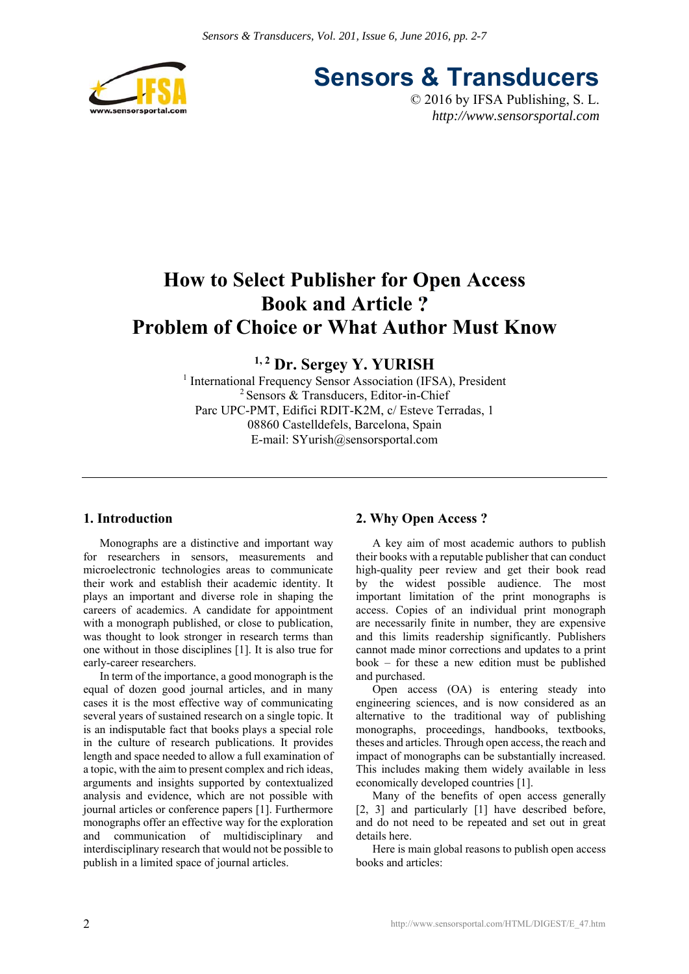

**Sensors & Transducers**

© 2016 by IFSA Publishing, S. L. *http://www.sensorsportal.com*

# **How to Select Publisher for Open Access Book and Article ? Problem of Choice or What Author Must Know**

## **1, 2 Dr. Sergey Y. YURISH**

<sup>1</sup> International Frequency Sensor Association (IFSA), President 2 Sensors & Transducers, Editor-in-Chief Parc UPC-PMT, Edifici RDIT-K2M, c/ Esteve Terradas, 1 08860 Castelldefels, Barcelona, Spain E-mail: SYurish@sensorsportal.com

## **1. Introduction**

Monographs are a distinctive and important way for researchers in sensors, measurements and microelectronic technologies areas to communicate their work and establish their academic identity. It plays an important and diverse role in shaping the careers of academics. A candidate for appointment with a monograph published, or close to publication, was thought to look stronger in research terms than one without in those disciplines [1]. It is also true for early-career researchers.

In term of the importance, a good monograph is the equal of dozen good journal articles, and in many cases it is the most effective way of communicating several years of sustained research on a single topic. It is an indisputable fact that books plays a special role in the culture of research publications. It provides length and space needed to allow a full examination of a topic, with the aim to present complex and rich ideas, arguments and insights supported by contextualized analysis and evidence, which are not possible with journal articles or conference papers [1]. Furthermore monographs offer an effective way for the exploration and communication of multidisciplinary and interdisciplinary research that would not be possible to publish in a limited space of journal articles.

#### **2. Why Open Access ?**

A key aim of most academic authors to publish their books with a reputable publisher that can conduct high-quality peer review and get their book read by the widest possible audience. The most important limitation of the print monographs is access. Copies of an individual print monograph are necessarily finite in number, they are expensive and this limits readership significantly. Publishers cannot made minor corrections and updates to a print book – for these a new edition must be published and purchased.

Open access (OA) is entering steady into engineering sciences, and is now considered as an alternative to the traditional way of publishing monographs, proceedings, handbooks, textbooks, theses and articles. Through open access, the reach and impact of monographs can be substantially increased. This includes making them widely available in less economically developed countries [1].

Many of the benefits of open access generally [2, 3] and particularly [1] have described before, and do not need to be repeated and set out in great details here.

Here is main global reasons to publish open access books and articles: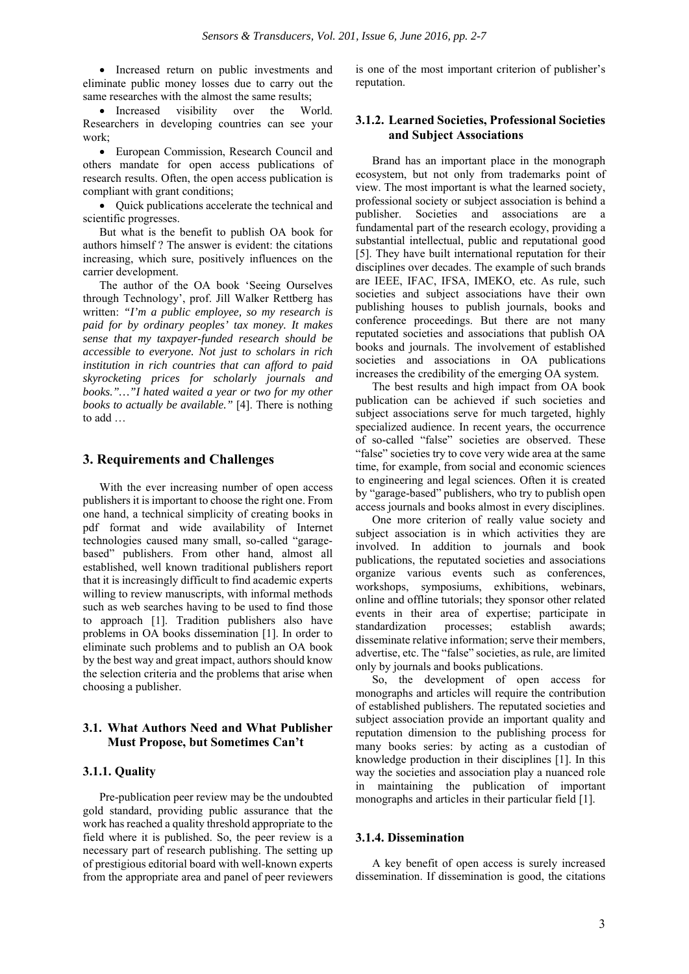Increased return on public investments and eliminate public money losses due to carry out the same researches with the almost the same results;

• Increased visibility over the World. Researchers in developing countries can see your work;

 European Commission, Research Council and others mandate for open access publications of research results. Often, the open access publication is compliant with grant conditions;

• Ouick publications accelerate the technical and scientific progresses.

But what is the benefit to publish OA book for authors himself ? The answer is evident: the citations increasing, which sure, positively influences on the carrier development.

The author of the OA book 'Seeing Ourselves through Technology', prof. Jill Walker Rettberg has written: *"I'm a public employee, so my research is paid for by ordinary peoples' tax money. It makes sense that my taxpayer-funded research should be accessible to everyone. Not just to scholars in rich institution in rich countries that can afford to paid skyrocketing prices for scholarly journals and books."…"I hated waited a year or two for my other books to actually be available."* [4]. There is nothing to add …

#### **3. Requirements and Challenges**

With the ever increasing number of open access publishers it is important to choose the right one. From one hand, a technical simplicity of creating books in pdf format and wide availability of Internet technologies caused many small, so-called "garagebased" publishers. From other hand, almost all established, well known traditional publishers report that it is increasingly difficult to find academic experts willing to review manuscripts, with informal methods such as web searches having to be used to find those to approach [1]. Tradition publishers also have problems in OA books dissemination [1]. In order to eliminate such problems and to publish an OA book by the best way and great impact, authors should know the selection criteria and the problems that arise when choosing a publisher.

## **3.1. What Authors Need and What Publisher Must Propose, but Sometimes Can't**

#### **3.1.1. Quality**

Pre-publication peer review may be the undoubted gold standard, providing public assurance that the work has reached a quality threshold appropriate to the field where it is published. So, the peer review is a necessary part of research publishing. The setting up of prestigious editorial board with well-known experts from the appropriate area and panel of peer reviewers is one of the most important criterion of publisher's reputation.

## **3.1.2. Learned Societies, Professional Societies and Subject Associations**

Brand has an important place in the monograph ecosystem, but not only from trademarks point of view. The most important is what the learned society, professional society or subject association is behind a publisher. Societies and associations are a fundamental part of the research ecology, providing a substantial intellectual, public and reputational good [5]. They have built international reputation for their disciplines over decades. The example of such brands are IEEE, IFAC, IFSA, IMEKO, etc. As rule, such societies and subject associations have their own publishing houses to publish journals, books and conference proceedings. But there are not many reputated societies and associations that publish OA books and journals. The involvement of established societies and associations in OA publications increases the credibility of the emerging OA system.

The best results and high impact from OA book publication can be achieved if such societies and subject associations serve for much targeted, highly specialized audience. In recent years, the occurrence of so-called "false" societies are observed. These "false" societies try to cove very wide area at the same time, for example, from social and economic sciences to engineering and legal sciences. Often it is created by "garage-based" publishers, who try to publish open access journals and books almost in every disciplines.

One more criterion of really value society and subject association is in which activities they are involved. In addition to journals and book publications, the reputated societies and associations organize various events such as conferences, workshops, symposiums, exhibitions, webinars, online and offline tutorials; they sponsor other related events in their area of expertise; participate in standardization processes; establish awards; disseminate relative information; serve their members, advertise, etc. The "false" societies, as rule, are limited only by journals and books publications.

So, the development of open access for monographs and articles will require the contribution of established publishers. The reputated societies and subject association provide an important quality and reputation dimension to the publishing process for many books series: by acting as a custodian of knowledge production in their disciplines [1]. In this way the societies and association play a nuanced role in maintaining the publication of important monographs and articles in their particular field [1].

#### **3.1.4. Dissemination**

A key benefit of open access is surely increased dissemination. If dissemination is good, the citations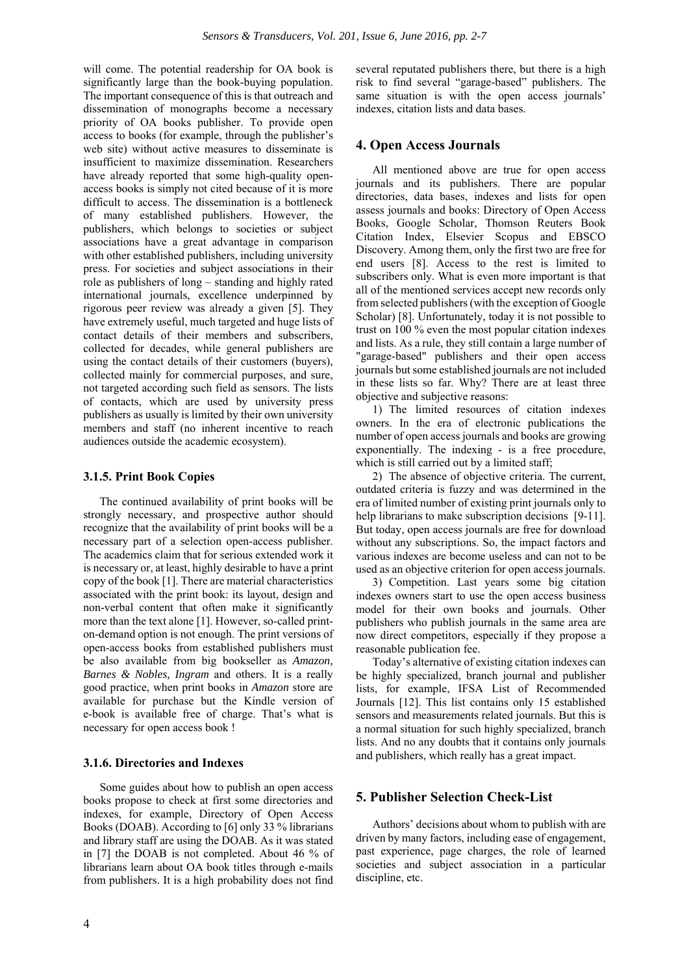will come. The potential readership for OA book is significantly large than the book-buying population. The important consequence of this is that outreach and dissemination of monographs become a necessary priority of OA books publisher. To provide open access to books (for example, through the publisher's web site) without active measures to disseminate is insufficient to maximize dissemination. Researchers have already reported that some high-quality openaccess books is simply not cited because of it is more difficult to access. The dissemination is a bottleneck of many established publishers. However, the publishers, which belongs to societies or subject associations have a great advantage in comparison with other established publishers, including university press. For societies and subject associations in their role as publishers of long – standing and highly rated international journals, excellence underpinned by rigorous peer review was already a given [5]. They have extremely useful, much targeted and huge lists of contact details of their members and subscribers, collected for decades, while general publishers are using the contact details of their customers (buyers), collected mainly for commercial purposes, and sure, not targeted according such field as sensors. The lists of contacts, which are used by university press publishers as usually is limited by their own university members and staff (no inherent incentive to reach audiences outside the academic ecosystem).

## **3.1.5. Print Book Copies**

The continued availability of print books will be strongly necessary, and prospective author should recognize that the availability of print books will be a necessary part of a selection open-access publisher. The academics claim that for serious extended work it is necessary or, at least, highly desirable to have a print copy of the book [1]. There are material characteristics associated with the print book: its layout, design and non-verbal content that often make it significantly more than the text alone [1]. However, so-called printon-demand option is not enough. The print versions of open-access books from established publishers must be also available from big bookseller as *Amazon, Barnes & Nobles, Ingram* and others. It is a really good practice, when print books in *Amazon* store are available for purchase but the Kindle version of e-book is available free of charge. That's what is necessary for open access book !

#### **3.1.6. Directories and Indexes**

Some guides about how to publish an open access books propose to check at first some directories and indexes, for example, Directory of Open Access Books (DOAB). According to [6] only 33 % librarians and library staff are using the DOAB. As it was stated in [7] the DOAB is not completed. About 46 % of librarians learn about OA book titles through e-mails from publishers. It is a high probability does not find several reputated publishers there, but there is a high risk to find several "garage-based" publishers. The same situation is with the open access journals' indexes, citation lists and data bases.

#### **4. Open Access Journals**

All mentioned above are true for open access journals and its publishers. There are popular directories, data bases, indexes and lists for open assess journals and books: Directory of Open Access Books, Google Scholar, Thomson Reuters Book Citation Index, Elsevier Scopus and EBSCO Discovery. Among them, only the first two are free for end users [8]. Access to the rest is limited to subscribers only. What is even more important is that all of the mentioned services accept new records only from selected publishers (with the exception of Google Scholar) [8]. Unfortunately, today it is not possible to trust on 100 % even the most popular citation indexes and lists. As a rule, they still contain a large number of "garage-based" publishers and their open access journals but some established journals are not included in these lists so far. Why? There are at least three objective and subjective reasons:

1) The limited resources of citation indexes owners. In the era of electronic publications the number of open access journals and books are growing exponentially. The indexing - is a free procedure, which is still carried out by a limited staff;

2) The absence of objective criteria. The current, outdated criteria is fuzzy and was determined in the era of limited number of existing print journals only to help librarians to make subscription decisions [9-11]. But today, open access journals are free for download without any subscriptions. So, the impact factors and various indexes are become useless and can not to be used as an objective criterion for open access journals.

3) Competition. Last years some big citation indexes owners start to use the open access business model for their own books and journals. Other publishers who publish journals in the same area are now direct competitors, especially if they propose a reasonable publication fee.

Today's alternative of existing citation indexes can be highly specialized, branch journal and publisher lists, for example, IFSA List of Recommended Journals [12]. This list contains only 15 established sensors and measurements related journals. But this is a normal situation for such highly specialized, branch lists. And no any doubts that it contains only journals and publishers, which really has a great impact.

## **5. Publisher Selection Check-List**

Authors' decisions about whom to publish with are driven by many factors, including ease of engagement, past experience, page charges, the role of learned societies and subject association in a particular discipline, etc.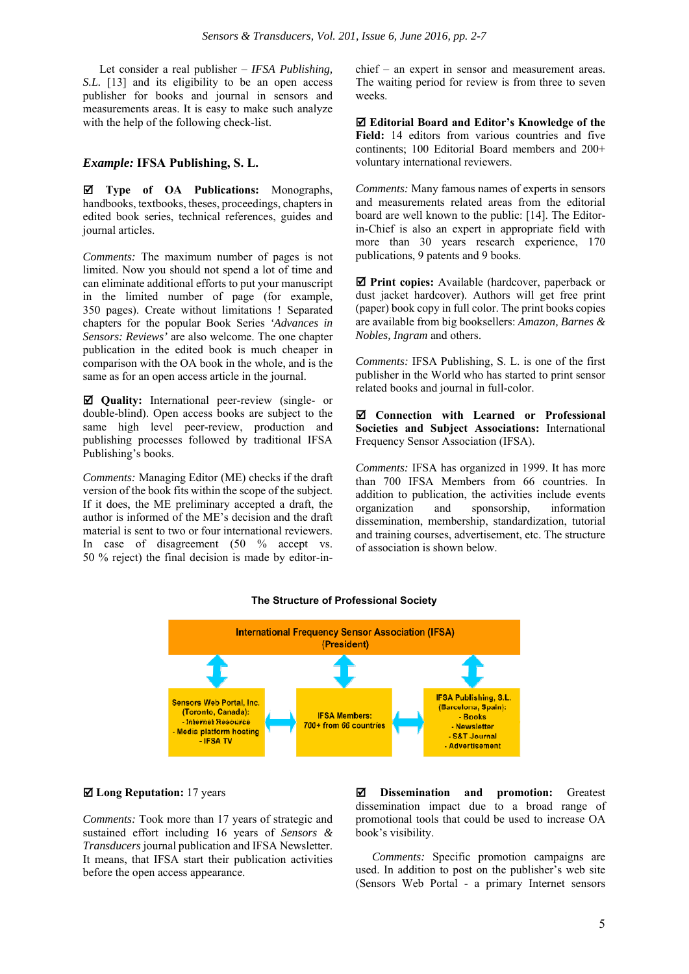Let consider a real publisher – *IFSA Publishing, S.L.* [13] and its eligibility to be an open access publisher for books and journal in sensors and measurements areas. It is easy to make such analyze with the help of the following check-list.

#### *Example:* **IFSA Publishing, S. L.**

 **Type of OA Publications:** Monographs, handbooks, textbooks, theses, proceedings, chapters in edited book series, technical references, guides and journal articles.

*Comments:* The maximum number of pages is not limited. Now you should not spend a lot of time and can eliminate additional efforts to put your manuscript in the limited number of page (for example, 350 pages). Create without limitations ! Separated chapters for the popular Book Series *'Advances in Sensors: Reviews'* are also welcome. The one chapter publication in the edited book is much cheaper in comparison with the OA book in the whole, and is the same as for an open access article in the journal.

 **Quality:** International peer-review (single- or double-blind). Open access books are subject to the same high level peer-review, production and publishing processes followed by traditional IFSA Publishing's books.

*Comments:* Managing Editor (ME) checks if the draft version of the book fits within the scope of the subject. If it does, the ME preliminary accepted a draft, the author is informed of the ME's decision and the draft material is sent to two or four international reviewers. In case of disagreement (50 % accept vs. 50 % reject) the final decision is made by editor-inchief – an expert in sensor and measurement areas. The waiting period for review is from three to seven weeks.

 **Editorial Board and Editor's Knowledge of the Field:** 14 editors from various countries and five continents; 100 Editorial Board members and 200+ voluntary international reviewers.

*Comments:* Many famous names of experts in sensors and measurements related areas from the editorial board are well known to the public: [14]. The Editorin-Chief is also an expert in appropriate field with more than 30 years research experience, 170 publications, 9 patents and 9 books.

 **Print copies:** Available (hardcover, paperback or dust jacket hardcover). Authors will get free print (paper) book copy in full color. The print books copies are available from big booksellers: *Amazon, Barnes & Nobles, Ingram* and others.

*Comments:* IFSA Publishing, S. L. is one of the first publisher in the World who has started to print sensor related books and journal in full-color.

 **Connection with Learned or Professional Societies and Subject Associations:** International Frequency Sensor Association (IFSA).

*Comments:* IFSA has organized in 1999. It has more than 700 IFSA Members from 66 countries. In addition to publication, the activities include events organization and sponsorship, information dissemination, membership, standardization, tutorial and training courses, advertisement, etc. The structure of association is shown below.



#### **The Structure of Professional Society**

## **Long Reputation:** 17 years

*Comments:* Took more than 17 years of strategic and sustained effort including 16 years of *Sensors & Transducers* journal publication and IFSA Newsletter. It means, that IFSA start their publication activities before the open access appearance.

 **Dissemination and promotion:** Greatest dissemination impact due to a broad range of promotional tools that could be used to increase OA book's visibility.

*Comments:* Specific promotion campaigns are used. In addition to post on the publisher's web site (Sensors Web Portal - a primary Internet sensors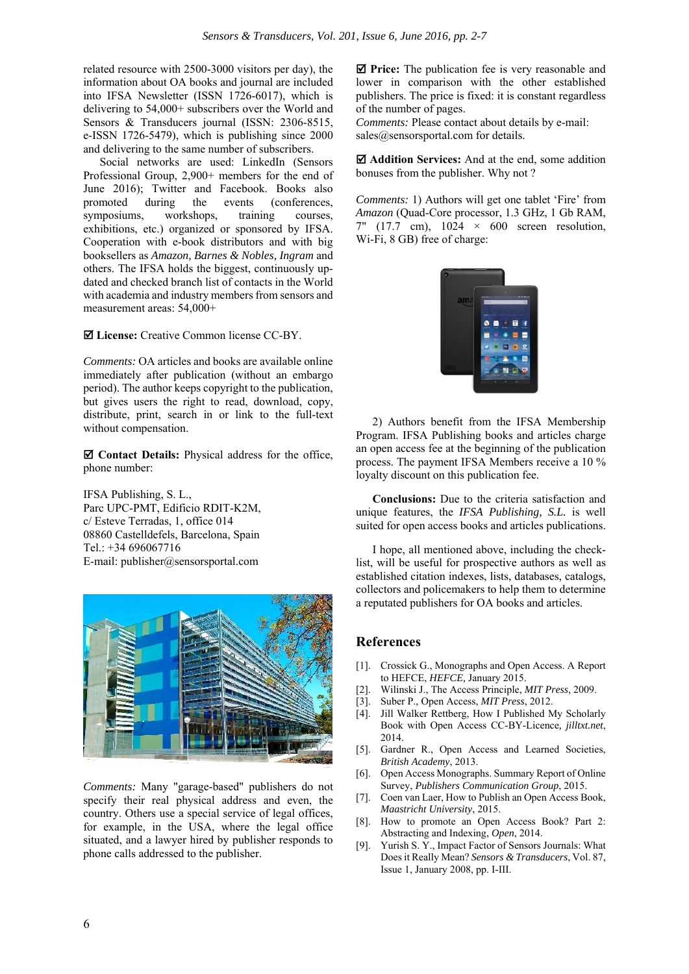related resource with 2500-3000 visitors per day), the information about OA books and journal are included into IFSA Newsletter (ISSN 1726-6017), which is delivering to 54,000+ subscribers over the World and Sensors & Transducers journal (ISSN: 2306-8515, e-ISSN 1726-5479), which is publishing since 2000 and delivering to the same number of subscribers.

Social networks are used: LinkedIn (Sensors Professional Group, 2,900+ members for the end of June 2016); Twitter and Facebook. Books also promoted during the events (conferences, symposiums, workshops, training courses, exhibitions, etc.) organized or sponsored by IFSA. Cooperation with e-book distributors and with big booksellers as *Amazon, Barnes & Nobles, Ingram* and others. The IFSA holds the biggest, continuously updated and checked branch list of contacts in the World with academia and industry members from sensors and measurement areas: 54,000+

 **License:** Creative Common license CC-BY.

*Comments:* OA articles and books are available online immediately after publication (without an embargo period). The author keeps copyright to the publication, but gives users the right to read, download, copy, distribute, print, search in or link to the full-text without compensation.

 **Contact Details:** Physical address for the office, phone number:

IFSA Publishing, S. L., Parc UPC-PMT, Edificio RDIT-K2M, c/ Esteve Terradas, 1, office 014 08860 Castelldefels, Barcelona, Spain Tel.: +34 696067716 E-mail: publisher@sensorsportal.com



*Comments:* Many "garage-based" publishers do not specify their real physical address and even, the country. Others use a special service of legal offices, for example, in the USA, where the legal office situated, and a lawyer hired by publisher responds to phone calls addressed to the publisher.

 **Price:** The publication fee is very reasonable and lower in comparison with the other established publishers. The price is fixed: it is constant regardless of the number of pages.

*Comments:* Please contact about details by e-mail: sales@sensorsportal.com for details.

 **Addition Services:** And at the end, some addition bonuses from the publisher. Why not ?

*Comments:* 1) Authors will get one tablet 'Fire' from *Amazon* (Quad-Core processor, 1.3 GHz, 1 Gb RAM,  $7''$  (17.7 cm),  $1024 \times 600$  screen resolution, Wi-Fi, 8 GB) free of charge:



2) Authors benefit from the IFSA Membership Program. IFSA Publishing books and articles charge an open access fee at the beginning of the publication process. The payment IFSA Members receive a 10 % loyalty discount on this publication fee.

**Conclusions:** Due to the criteria satisfaction and unique features, the *IFSA Publishing, S.L.* is well suited for open access books and articles publications.

I hope, all mentioned above, including the checklist, will be useful for prospective authors as well as established citation indexes, lists, databases, catalogs, collectors and policemakers to help them to determine a reputated publishers for OA books and articles.

## **References**

- [1]. Crossick G., Monographs and Open Access. A Report to HEFCE, *HEFCE,* January 2015.
- [2]. Wilinski J., The Access Principle, *MIT Press*, 2009.
- [3]. Suber P., Open Access, *MIT Press*, 2012.
- Jill Walker Rettberg, How I Published My Scholarly Book with Open Access CC-BY-Licence*, jilltxt.net*, 2014.
- [5]. Gardner R., Open Access and Learned Societies, *British Academy*, 2013.
- [6]. Open Access Monographs. Summary Report of Online Survey, *Publishers Communication Group*, 2015.
- [7]. Coen van Laer, How to Publish an Open Access Book, *Maastricht University*, 2015.
- [8]. How to promote an Open Access Book? Part 2: Abstracting and Indexing, *Open*, 2014.
- [9]. Yurish S. Y., Impact Factor of Sensors Journals: What Does it Really Mean? *Sensors & Transducers*, Vol. 87, Issue 1, January 2008, pp. I-III.